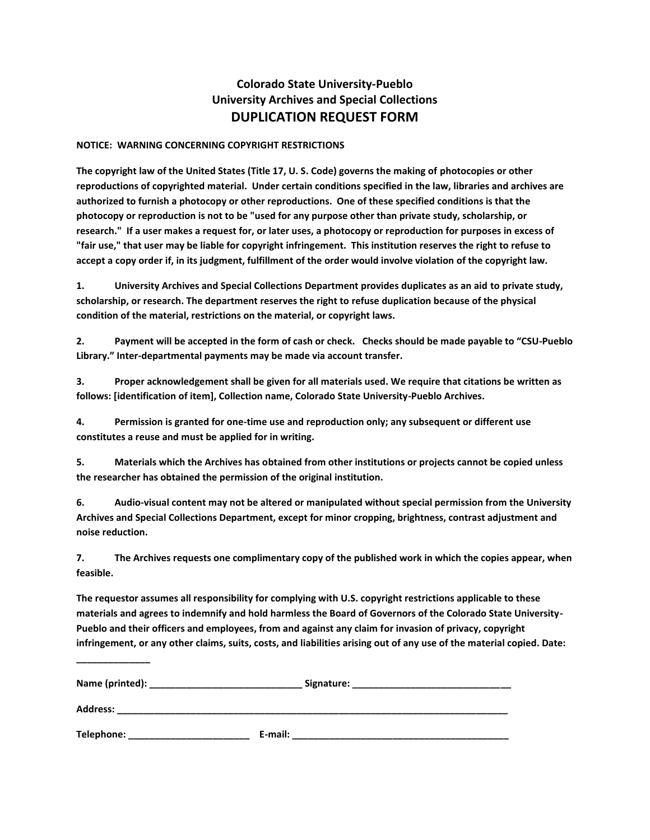## **Colorado State University-Pueblo University Archives and Special Collections DUPLICATION REQUEST FORM**

## **NOTICE: WARNING CONCERNING COPYRIGHT RESTRICTIONS**

**The copyright law of the United States (Title 17, U. S. Code) governs the making of photocopies or other reproductions of copyrighted material. Under certain conditions specified in the law, libraries and archives are authorized to furnish a photocopy or other reproductions. One of these specified conditions is that the photocopy or reproduction is not to be "used for any purpose other than private study, scholarship, or research." If a user makes a request for, or later uses, a photocopy or reproduction for purposes in excess of "fair use," that user may be liable for copyright infringement. This institution reserves the right to refuse to accept a copy order if, in its judgment, fulfillment of the order would involve violation of the copyright law.**

**1. University Archives and Special Collections Department provides duplicates as an aid to private study, scholarship, or research. The department reserves the right to refuse duplication because of the physical condition of the material, restrictions on the material, or copyright laws.**

**2. Payment will be accepted in the form of cash or check. Checks should be made payable to "CSU-Pueblo Library." Inter-departmental payments may be made via account transfer.**

**3. Proper acknowledgement shall be given for all materials used. We require that citations be written as follows: [identification of item], Collection name, Colorado State University-Pueblo Archives.**

**4. Permission is granted for one-time use and reproduction only; any subsequent or different use constitutes a reuse and must be applied for in writing.**

**5. Materials which the Archives has obtained from other institutions or projects cannot be copied unless the researcher has obtained the permission of the original institution.**

**6. Audio-visual content may not be altered or manipulated without special permission from the University Archives and Special Collections Department, except for minor cropping, brightness, contrast adjustment and noise reduction.**

**7. The Archives requests one complimentary copy of the published work in which the copies appear, when feasible.**

**The requestor assumes all responsibility for complying with U.S. copyright restrictions applicable to these materials and agrees to indemnify and hold harmless the Board of Governors of the Colorado State University-Pueblo and their officers and employees, from and against any claim for invasion of privacy, copyright infringement, or any other claims, suits, costs, and liabilities arising out of any use of the material copied. Date:** 

| <b>Address:</b> |         |
|-----------------|---------|
| Telephone:      | E-mail: |

**\_\_\_\_\_\_\_\_\_\_\_\_\_\_**